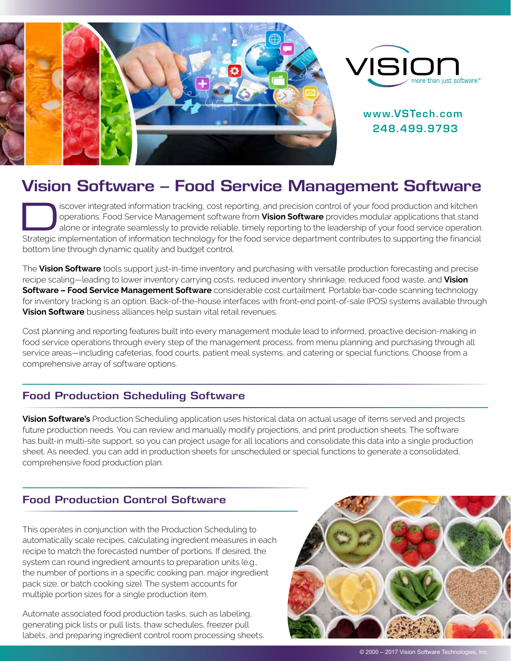



w w w.VSTech.com 248.499.9793

# Vision Software – Food Service Management Software

iscover integrated information tracking, cost reporting, and precision control of your food production and kitchen operations. Food Service Management software from **Vision Software** provides modular applications that stand alone or integrate seamlessly to provide reliable, timely reporting to the leadership of your food service operation. Strategic implementation of information technology for the food service department contributes to supporting the financial bottom line through dynamic quality and budget control.

The **Vision Software** tools support just-in-time inventory and purchasing with versatile production forecasting and precise recipe scaling—leading to lower inventory carrying costs, reduced inventory shrinkage, reduced food waste, and **Vision Software – Food Service Management Software** considerable cost curtailment. Portable bar-code scanning technology for inventory tracking is an option. Back-of-the-house interfaces with front-end point-of-sale (POS) systems available through **Vision Software** business alliances help sustain vital retail revenues.

Cost planning and reporting features built into every management module lead to informed, proactive decision-making in food service operations through every step of the management process, from menu planning and purchasing through all service areas—including cafeterias, food courts, patient meal systems, and catering or special functions. Choose from a comprehensive array of software options.

## Food Production Scheduling Software

**Vision Software's** Production Scheduling application uses historical data on actual usage of items served and projects future production needs. You can review and manually modify projections, and print production sheets. The software has built-in multi-site support, so you can project usage for all locations and consolidate this data into a single production sheet. As needed, you can add in production sheets for unscheduled or special functions to generate a consolidated, comprehensive food production plan.

## Food Production Control Software

This operates in conjunction with the Production Scheduling to automatically scale recipes, calculating ingredient measures in each recipe to match the forecasted number of portions. If desired, the system can round ingredient amounts to preparation units (e.g., the number of portions in a specific cooking pan, major ingredient pack size, or batch cooking size). The system accounts for multiple portion sizes for a single production item.

Automate associated food production tasks, such as labeling, generating pick lists or pull lists, thaw schedules, freezer pull labels, and preparing ingredient control room processing sheets.

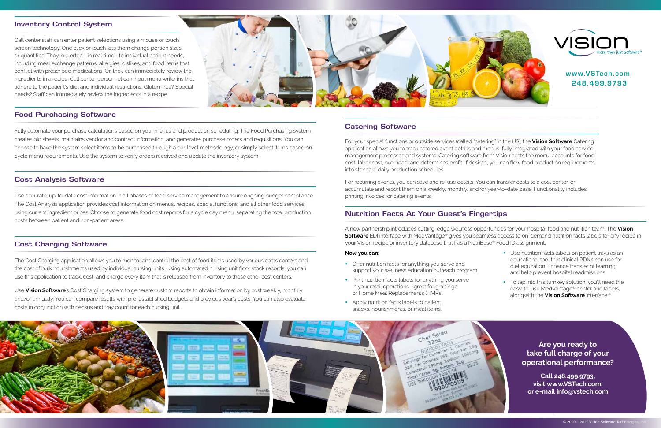### Inventory Control System

Call center staff can enter patient selections using a mouse or touch screen technology. One click or touch lets them change portion sizes or quantities. They're alerted—in real time—to individual patient needs, including meal exchange patterns, allergies, dislikes, and food items that conflict with prescribed medications. Or, they can immediately review the ingredients in a recipe. Call center personnel can input menu write-ins that adhere to the patient's diet and individual restrictions. Gluten-free? Special needs? Staff can immediately review the ingredients in a recipe.



## Food Purchasing Software

Fully automate your purchase calculations based on your menus and production scheduling. The Food Purchasing system creates bid sheets, maintains vendor and contract information, and generates purchase orders and requisitions. You can choose to have the system select items to be purchased through a par-level methodology, or simply select items based on cycle menu requirements. Use the system to verify orders received and update the inventory system.

## Cost Analysis Software

Use accurate, up-to-date cost information in all phases of food service management to ensure ongoing budget compliance. The Cost Analysis application provides cost information on menus, recipes, special functions, and all other food services using current ingredient prices. Choose to generate food cost reports for a cycle day menu, separating the total production costs between patient and non-patient areas.

### Cost Charging Software

The Cost Charging application allows you to monitor and control the cost of food items used by various costs centers and the cost of bulk nourishments used by individual nursing units. Using automated nursing unit floor stock records, you can use this application to track, cost, and charge every item that is released from inventory to these other cost centers.

Use **Vision Software**'s Cost Charging system to generate custom reports to obtain information by cost weekly, monthly, and/or annually. You can compare results with pre-established budgets and previous year's costs. You can also evaluate costs in conjunction with census and tray count for each nursing unit.

## Nutrition Facts At Your Guest's Fingertips

A new partnership introduces cutting-edge wellness opportunities for your hospital food and nutrition team. The **Vision Software** EDI interface with MedVantage® gives you seamless access to on-demand nutrition facts labels for any recipe in your Vision recipe or inventory database that has a NutriBase® Food ID assignment.

## w w w.VSTech.com 248.499.9793

## Catering Software

For your special functions or outside services (called "catering" in the US), the **Vision Software** Catering application allows you to track catered event details and menus, fully integrated with your food service management processes and systems. Catering software from Vision costs the menu, accounts for food cost, labor cost, overhead, and determines profit. If desired, you can flow food production requirements into standard daily production schedules.

For recurring events, you can save and re-use details. You can transfer costs to a cost center, or accumulate and report them on a weekly, monthly, and/or year-to-date basis. Functionality includes printing invoices for catering events.

#### **Now you can:**

- **•** Offer nutrition facts for anything you serve and support your wellness education outreach program.
- **•** Print nutrition facts labels for anything you serve in your retail operations—great for grab'n'go or Home Meal Replacements (HMRs).
- **•** Apply nutrition facts labels to patient snacks, nourishments, or meal items.





- **•** Use nutrition facts labels on patient trays as an educational tool that clinical RDNs can use for diet education. Enhance transfer of learning and help prevent hospital readmissions.
- **•** To tap into this turnkey solution, you'll need the easy-to-use MedVantage® printer and labels, alongwith the **Vision Software** interface.©



**Are you ready to take full charge of your operational performance?**

**Call 248.499.9793, visit www.VSTech.com, or e-mail info@vstech.com**